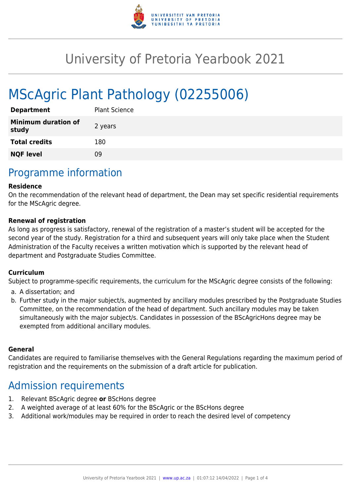

# University of Pretoria Yearbook 2021

# MScAgric Plant Pathology (02255006)

| <b>Department</b>                   | <b>Plant Science</b> |
|-------------------------------------|----------------------|
| <b>Minimum duration of</b><br>study | 2 years              |
| <b>Total credits</b>                | 180                  |
| <b>NQF level</b>                    | ng                   |

### Programme information

#### **Residence**

On the recommendation of the relevant head of department, the Dean may set specific residential requirements for the MScAgric degree.

#### **Renewal of registration**

As long as progress is satisfactory, renewal of the registration of a master's student will be accepted for the second year of the study. Registration for a third and subsequent years will only take place when the Student Administration of the Faculty receives a written motivation which is supported by the relevant head of department and Postgraduate Studies Committee.

#### **Curriculum**

Subject to programme-specific requirements, the curriculum for the MScAgric degree consists of the following:

- a. A dissertation; and
- b. Further study in the major subject/s, augmented by ancillary modules prescribed by the Postgraduate Studies Committee, on the recommendation of the head of department. Such ancillary modules may be taken simultaneously with the major subject/s. Candidates in possession of the BScAgricHons degree may be exempted from additional ancillary modules.

#### **General**

Candidates are required to familiarise themselves with the General Regulations regarding the maximum period of registration and the requirements on the submission of a draft article for publication.

### Admission requirements

- 1. Relevant BScAgric degree **or** BScHons degree
- 2. A weighted average of at least 60% for the BScAgric or the BScHons degree
- 3. Additional work/modules may be required in order to reach the desired level of competency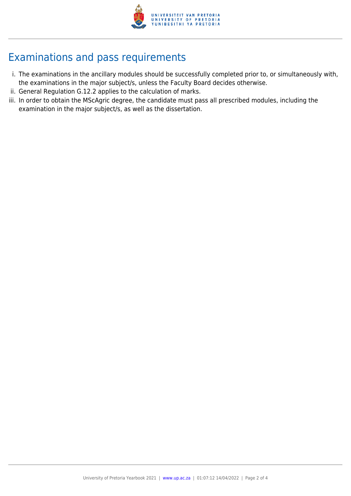

## Examinations and pass requirements

- i. The examinations in the ancillary modules should be successfully completed prior to, or simultaneously with, the examinations in the major subject/s, unless the Faculty Board decides otherwise.
- ii. General Regulation G.12.2 applies to the calculation of marks.
- iii. In order to obtain the MScAgric degree, the candidate must pass all prescribed modules, including the examination in the major subject/s, as well as the dissertation.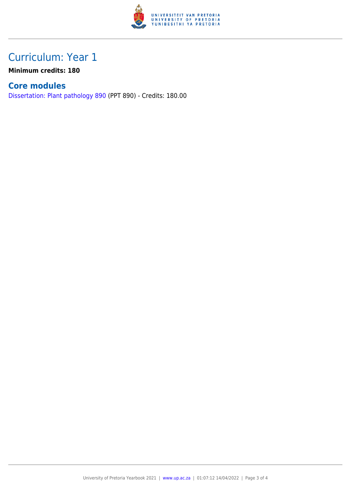

## Curriculum: Year 1

**Minimum credits: 180**

### **Core modules**

[Dissertation: Plant pathology 890](https://www.up.ac.za/yearbooks/2021/modules/view/PPT 890) (PPT 890) - Credits: 180.00